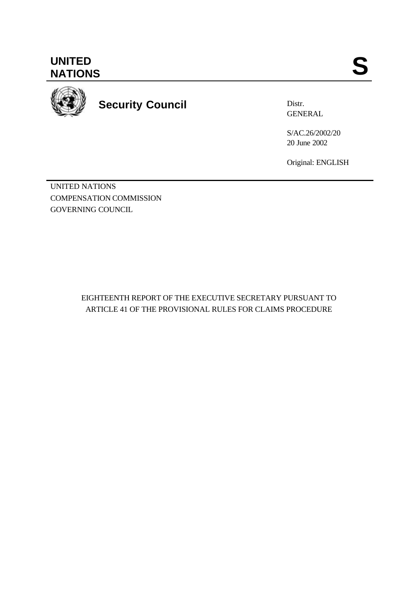**UNITED** UNITED SANTIONS



**Security Council**

Distr. GENERAL

S/AC.26/2002/20 20 June 2002

Original: ENGLISH

UNITED NATIONS COMPENSATION COMMISSION GOVERNING COUNCIL

> EIGHTEENTH REPORT OF THE EXECUTIVE SECRETARY PURSUANT TO ARTICLE 41 OF THE PROVISIONAL RULES FOR CLAIMS PROCEDURE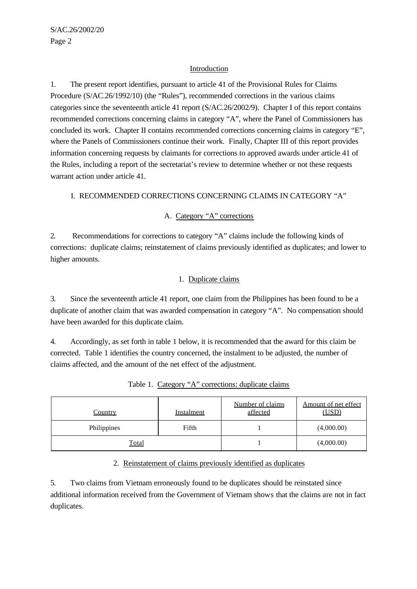## Introduction

1. The present report identifies, pursuant to article 41 of the Provisional Rules for Claims Procedure (S/AC.26/1992/10) (the "Rules"), recommended corrections in the various claims categories since the seventeenth article 41 report (S/AC.26/2002/9). Chapter I of this report contains recommended corrections concerning claims in category "A", where the Panel of Commissioners has concluded its work. Chapter II contains recommended corrections concerning claims in category "E", where the Panels of Commissioners continue their work. Finally, Chapter III of this report provides information concerning requests by claimants for corrections to approved awards under article 41 of the Rules, including a report of the secretariat's review to determine whether or not these requests warrant action under article 41.

### I. RECOMMENDED CORRECTIONS CONCERNING CLAIMS IN CATEGORY "A"

## A. Category "A" corrections

2. Recommendations for corrections to category "A" claims include the following kinds of corrections: duplicate claims; reinstatement of claims previously identified as duplicates; and lower to higher amounts.

## 1. Duplicate claims

3. Since the seventeenth article 41 report, one claim from the Philippines has been found to be a duplicate of another claim that was awarded compensation in category "A". No compensation should have been awarded for this duplicate claim.

4. Accordingly, as set forth in table 1 below, it is recommended that the award for this claim be corrected. Table 1 identifies the country concerned, the instalment to be adjusted, the number of claims affected, and the amount of the net effect of the adjustment.

| <b>Country</b> | <b>Instalment</b> | Number of claims<br>affected | Amount of net effect<br>(USD) |
|----------------|-------------------|------------------------------|-------------------------------|
| Philippines    | Fifth             |                              | (4,000.00)                    |
| <b>Total</b>   |                   |                              | (4,000.00)                    |

Table 1. Category "A" corrections: duplicate claims

### 2. Reinstatement of claims previously identified as duplicates

5. Two claims from Vietnam erroneously found to be duplicates should be reinstated since additional information received from the Government of Vietnam shows that the claims are not in fact duplicates.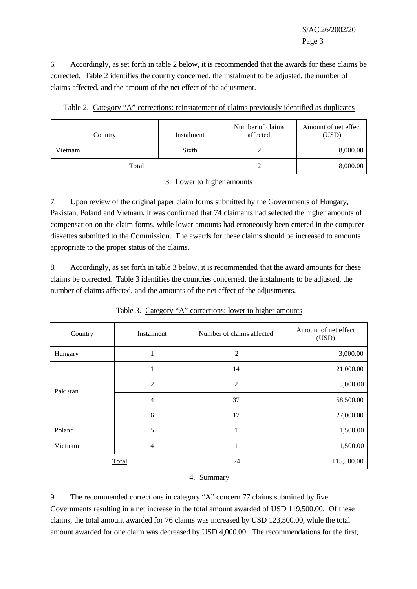S/AC.26/2002/20 Page 3

6. Accordingly, as set forth in table 2 below, it is recommended that the awards for these claims be corrected. Table 2 identifies the country concerned, the instalment to be adjusted, the number of claims affected, and the amount of the net effect of the adjustment.

| Table 2. Category "A" corrections: reinstatement of claims previously identified as duplicates |  |  |  |
|------------------------------------------------------------------------------------------------|--|--|--|
|                                                                                                |  |  |  |

| Country | Instalment | Number of claims<br>affected | Amount of net effect<br>(USD) |
|---------|------------|------------------------------|-------------------------------|
| Vietnam | Sixth      |                              | 8,000.00                      |
| Total   |            |                              | 8,000.00                      |

#### 3. Lower to higher amounts

7. Upon review of the original paper claim forms submitted by the Governments of Hungary, Pakistan, Poland and Vietnam, it was confirmed that 74 claimants had selected the higher amounts of compensation on the claim forms, while lower amounts had erroneously been entered in the computer diskettes submitted to the Commission. The awards for these claims should be increased to amounts appropriate to the proper status of the claims.

8. Accordingly, as set forth in table 3 below, it is recommended that the award amounts for these claims be corrected. Table 3 identifies the countries concerned, the instalments to be adjusted, the number of claims affected, and the amounts of the net effect of the adjustments.

| Country  | Instalment | Number of claims affected | Amount of net effect<br>(USD) |
|----------|------------|---------------------------|-------------------------------|
| Hungary  | 1          | $\overline{2}$            | 3,000.00                      |
|          | н          | 14                        | 21,000.00                     |
| Pakistan | 2          | 2                         | 3,000.00                      |
|          | 4          | 37                        | 58,500.00                     |
|          | 6          | 17                        | 27,000.00                     |
| Poland   | 5          |                           | 1,500.00                      |
| Vietnam  | 4          |                           | 1,500.00                      |
|          | Total      | 74                        | 115,500.00                    |

Table 3. Category "A" corrections: lower to higher amounts

### 4. Summary

9. The recommended corrections in category "A" concern 77 claims submitted by five Governments resulting in a net increase in the total amount awarded of USD 119,500.00. Of these claims, the total amount awarded for 76 claims was increased by USD 123,500.00, while the total amount awarded for one claim was decreased by USD 4,000.00. The recommendations for the first,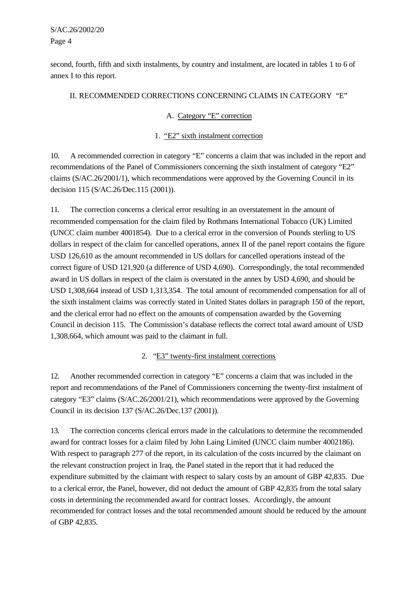S/AC.26/2002/20 Page 4

second, fourth, fifth and sixth instalments, by country and instalment, are located in tables 1 to 6 of annex I to this report.

## II. RECOMMENDED CORRECTIONS CONCERNING CLAIMS IN CATEGORY "E"

## A. Category "E" correction

## 1. "E2" sixth instalment correction

10. A recommended correction in category "E" concerns a claim that was included in the report and recommendations of the Panel of Commissioners concerning the sixth instalment of category "E2" claims (S/AC.26/2001/1), which recommendations were approved by the Governing Council in its decision 115 (S/AC.26/Dec.115 (2001)).

11. The correction concerns a clerical error resulting in an overstatement in the amount of recommended compensation for the claim filed by Rothmans International Tobacco (UK) Limited (UNCC claim number 4001854). Due to a clerical error in the conversion of Pounds sterling to US dollars in respect of the claim for cancelled operations, annex II of the panel report contains the figure USD 126,610 as the amount recommended in US dollars for cancelled operations instead of the correct figure of USD 121,920 (a difference of USD 4,690). Correspondingly, the total recommended award in US dollars in respect of the claim is overstated in the annex by USD 4,690, and should be USD 1,308,664 instead of USD 1,313,354. The total amount of recommended compensation for all of the sixth instalment claims was correctly stated in United States dollars in paragraph 150 of the report, and the clerical error had no effect on the amounts of compensation awarded by the Governing Council in decision 115. The Commission's database reflects the correct total award amount of USD 1,308,664, which amount was paid to the claimant in full.

### 2. "E3" twenty-first instalment corrections

12. Another recommended correction in category "E" concerns a claim that was included in the report and recommendations of the Panel of Commissioners concerning the twenty-first instalment of category "E3" claims (S/AC.26/2001/21), which recommendations were approved by the Governing Council in its decision 137 (S/AC.26/Dec.137 (2001)).

13. The correction concerns clerical errors made in the calculations to determine the recommended award for contract losses for a claim filed by John Laing Limited (UNCC claim number 4002186). With respect to paragraph 277 of the report, in its calculation of the costs incurred by the claimant on the relevant construction project in Iraq, the Panel stated in the report that it had reduced the expenditure submitted by the claimant with respect to salary costs by an amount of GBP 42,835. Due to a clerical error, the Panel, however, did not deduct the amount of GBP 42,835 from the total salary costs in determining the recommended award for contract losses. Accordingly, the amount recommended for contract losses and the total recommended amount should be reduced by the amount of GBP 42,835.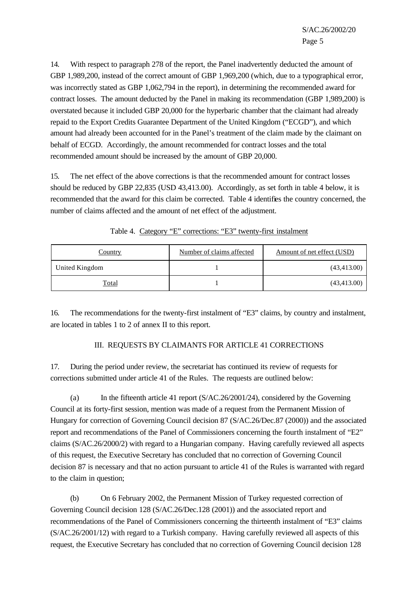14. With respect to paragraph 278 of the report, the Panel inadvertently deducted the amount of GBP 1,989,200, instead of the correct amount of GBP 1,969,200 (which, due to a typographical error, was incorrectly stated as GBP 1,062,794 in the report), in determining the recommended award for contract losses. The amount deducted by the Panel in making its recommendation (GBP 1,989,200) is overstated because it included GBP 20,000 for the hyperbaric chamber that the claimant had already repaid to the Export Credits Guarantee Department of the United Kingdom ("ECGD"), and which amount had already been accounted for in the Panel's treatment of the claim made by the claimant on behalf of ECGD. Accordingly, the amount recommended for contract losses and the total recommended amount should be increased by the amount of GBP 20,000.

15. The net effect of the above corrections is that the recommended amount for contract losses should be reduced by GBP 22,835 (USD 43,413.00).Accordingly, as set forth in table 4 below, it is recommended that the award for this claim be corrected. Table 4 identifies the country concerned, the number of claims affected and the amount of net effect of the adjustment.

| <u>Country</u> | Number of claims affected | Amount of net effect (USD) |
|----------------|---------------------------|----------------------------|
| United Kingdom |                           | (43, 413.00)               |
| Total          |                           | (43, 413.00)               |

Table 4. Category "E" corrections: "E3" twenty-first instalment

16. The recommendations for the twenty-first instalment of "E3" claims, by country and instalment, are located in tables 1 to 2 of annex II to this report.

# III. REQUESTS BY CLAIMANTS FOR ARTICLE 41 CORRECTIONS

17. During the period under review, the secretariat has continued its review of requests for corrections submitted under article 41 of the Rules. The requests are outlined below:

(a) In the fifteenth article 41 report (S/AC.26/2001/24), considered by the Governing Council at its forty-first session, mention was made of a request from the Permanent Mission of Hungary for correction of Governing Council decision 87 (S/AC.26/Dec.87 (2000)) and the associated report and recommendations of the Panel of Commissioners concerning the fourth instalment of "E2" claims (S/AC.26/2000/2) with regard to a Hungarian company. Having carefully reviewed all aspects of this request, the Executive Secretary has concluded that no correction of Governing Council decision 87 is necessary and that no action pursuant to article 41 of the Rules is warranted with regard to the claim in question;

(b) On 6 February 2002, the Permanent Mission of Turkey requested correction of Governing Council decision 128 (S/AC.26/Dec.128 (2001)) and the associated report and recommendations of the Panel of Commissioners concerning the thirteenth instalment of "E3" claims (S/AC.26/2001/12) with regard to a Turkish company. Having carefully reviewed all aspects of this request, the Executive Secretary has concluded that no correction of Governing Council decision 128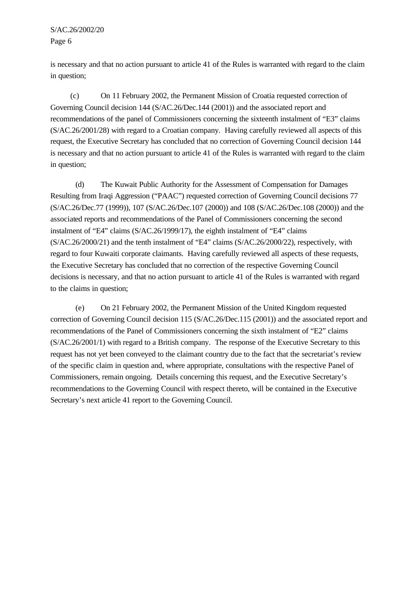is necessary and that no action pursuant to article 41 of the Rules is warranted with regard to the claim in question;

(c) On 11 February 2002, the Permanent Mission of Croatia requested correction of Governing Council decision 144 (S/AC.26/Dec.144 (2001)) and the associated report and recommendations of the panel of Commissioners concerning the sixteenth instalment of "E3" claims (S/AC.26/2001/28) with regard to a Croatian company. Having carefully reviewed all aspects of this request, the Executive Secretary has concluded that no correction of Governing Council decision 144 is necessary and that no action pursuant to article 41 of the Rules is warranted with regard to the claim in question;

(d) The Kuwait Public Authority for the Assessment of Compensation for Damages Resulting from Iraqi Aggression ("PAAC") requested correction of Governing Council decisions 77 (S/AC.26/Dec.77 (1999)), 107 (S/AC.26/Dec.107 (2000)) and 108 (S/AC.26/Dec.108 (2000)) and the associated reports and recommendations of the Panel of Commissioners concerning the second instalment of "E4" claims (S/AC.26/1999/17), the eighth instalment of "E4" claims (S/AC.26/2000/21) and the tenth instalment of "E4" claims (S/AC.26/2000/22), respectively, with regard to four Kuwaiti corporate claimants. Having carefully reviewed all aspects of these requests, the Executive Secretary has concluded that no correction of the respective Governing Council decisions is necessary, and that no action pursuant to article 41 of the Rules is warranted with regard to the claims in question;

(e) On 21 February 2002, the Permanent Mission of the United Kingdom requested correction of Governing Council decision 115 (S/AC.26/Dec.115 (2001)) and the associated report and recommendations of the Panel of Commissioners concerning the sixth instalment of "E2" claims (S/AC.26/2001/1) with regard to a British company. The response of the Executive Secretary to this request has not yet been conveyed to the claimant country due to the fact that the secretariat's review of the specific claim in question and, where appropriate, consultations with the respective Panel of Commissioners, remain ongoing. Details concerning this request, and the Executive Secretary's recommendations to the Governing Council with respect thereto, will be contained in the Executive Secretary's next article 41 report to the Governing Council.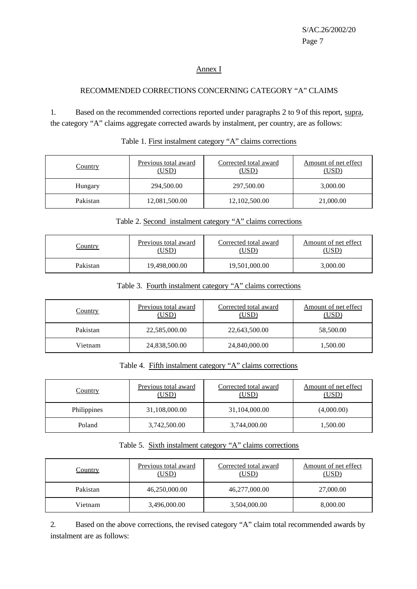## Annex I

## RECOMMENDED CORRECTIONS CONCERNING CATEGORY "A" CLAIMS

1. Based on the recommended corrections reported under paragraphs 2 to 9 of this report, supra, the category "A" claims aggregate corrected awards by instalment, per country, are as follows:

| <b>Country</b> | Previous total award<br>(USD) | Corrected total award<br>(USD) | Amount of net effect<br><u>(USD)</u> |
|----------------|-------------------------------|--------------------------------|--------------------------------------|
| Hungary        | 294,500.00                    | 297,500.00                     | 3,000.00                             |
| Pakistan       | 12,081,500.00                 | 12,102,500.00                  | 21,000.00                            |

## Table 1. First instalment category "A" claims corrections

# Table 2. Second instalment category "A" claims corrections

| <u>Country</u> | Previous total award | Corrected total award   | Amount of net effect |
|----------------|----------------------|-------------------------|----------------------|
|                | 'USD                 | $\overline{\text{JSD}}$ | USD`                 |
| Pakistan       | 19,498,000.00        | 19,501,000.00           | 3,000.00             |

### Table 3. Fourth instalment category "A" claims corrections

| <u>Country</u> | Previous total award<br>(USD) | Corrected total award<br>(USD) | Amount of net effect<br>(USD) |
|----------------|-------------------------------|--------------------------------|-------------------------------|
| Pakistan       | 22,585,000.00                 | 22,643,500.00                  | 58,500.00                     |
| Vietnam        | 24,838,500.00                 | 24,840,000.00                  | 1,500.00                      |

## Table 4. Fifth instalment category "A" claims corrections

| <u>Country</u> | Previous total award<br><u>(USD)</u> | Corrected total award<br>(USD) | Amount of net effect<br><u>(USD)</u> |
|----------------|--------------------------------------|--------------------------------|--------------------------------------|
| Philippines    | 31,108,000.00                        | 31,104,000.00                  | (4,000.00)                           |
| Poland         | 3,742,500.00                         | 3,744,000.00                   | 1,500.00                             |

## Table 5. Sixth instalment category "A" claims corrections

| <u>Country</u> | Previous total award<br><u>(USD)</u> | Corrected total award<br>(USD) | Amount of net effect<br>(USD) |
|----------------|--------------------------------------|--------------------------------|-------------------------------|
| Pakistan       | 46,250,000.00                        | 46,277,000.00                  | 27,000.00                     |
| Vietnam        | 3,496,000.00                         | 3,504,000.00                   | 8,000.00                      |

2. Based on the above corrections, the revised category "A" claim total recommended awards by instalment are as follows: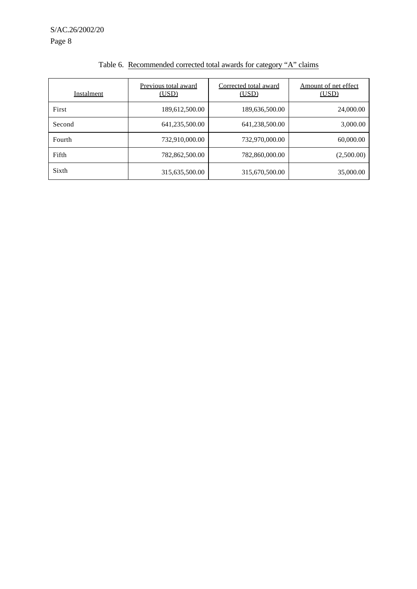S/AC.26/2002/20 Page 8

| Instalment | Previous total award<br>(USD) | Corrected total award<br>(USD) | Amount of net effect<br>(USD) |
|------------|-------------------------------|--------------------------------|-------------------------------|
| First      | 189,612,500.00                | 189,636,500.00                 | 24,000.00                     |
| Second     | 641,235,500.00                | 641,238,500.00                 | 3,000.00                      |
| Fourth     | 732,910,000.00                | 732,970,000.00                 | 60,000.00                     |
| Fifth      | 782,862,500.00                | 782,860,000.00                 | (2,500.00)                    |
| Sixth      | 315,635,500.00                | 315,670,500.00                 | 35,000.00                     |

# Table 6. Recommended corrected total awards for category "A" claims